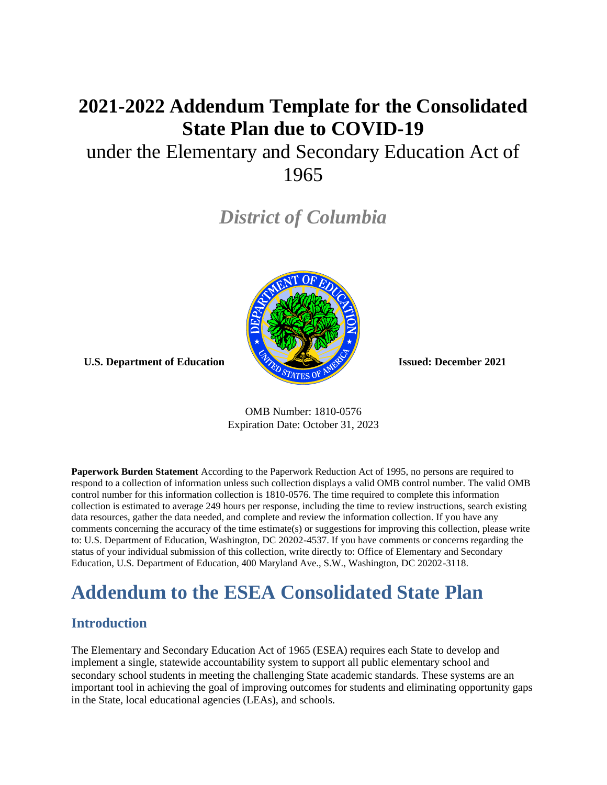# **2021-2022 Addendum Template for the Consolidated State Plan due to COVID-19**

# under the Elementary and Secondary Education Act of 1965

*District of Columbia*



**U.S. Department of Education Issued: December 2021**

OMB Number: 1810-0576 Expiration Date: October 31, 2023

**Paperwork Burden Statement** According to the Paperwork Reduction Act of 1995, no persons are required to respond to a collection of information unless such collection displays a valid OMB control number. The valid OMB control number for this information collection is 1810-0576. The time required to complete this information collection is estimated to average 249 hours per response, including the time to review instructions, search existing data resources, gather the data needed, and complete and review the information collection. If you have any comments concerning the accuracy of the time estimate(s) or suggestions for improving this collection, please write to: U.S. Department of Education, Washington, DC 20202-4537. If you have comments or concerns regarding the status of your individual submission of this collection, write directly to: Office of Elementary and Secondary Education, U.S. Department of Education, 400 Maryland Ave., S.W., Washington, DC 20202-3118.

# **Addendum to the ESEA Consolidated State Plan**

### **Introduction**

The Elementary and Secondary Education Act of 1965 (ESEA) requires each State to develop and implement a single, statewide accountability system to support all public elementary school and secondary school students in meeting the challenging State academic standards. These systems are an important tool in achieving the goal of improving outcomes for students and eliminating opportunity gaps in the State, local educational agencies (LEAs), and schools.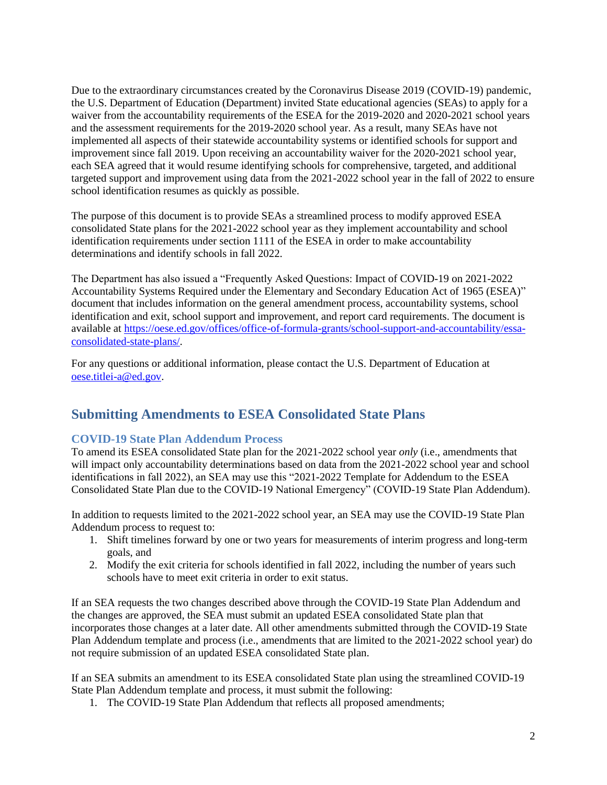Due to the extraordinary circumstances created by the Coronavirus Disease 2019 (COVID-19) pandemic, the U.S. Department of Education (Department) invited State educational agencies (SEAs) to apply for a waiver from the accountability requirements of the ESEA for the 2019-2020 and 2020-2021 school years and the assessment requirements for the 2019-2020 school year. As a result, many SEAs have not implemented all aspects of their statewide accountability systems or identified schools for support and improvement since fall 2019. Upon receiving an accountability waiver for the 2020-2021 school year, each SEA agreed that it would resume identifying schools for comprehensive, targeted, and additional targeted support and improvement using data from the 2021-2022 school year in the fall of 2022 to ensure school identification resumes as quickly as possible.

The purpose of this document is to provide SEAs a streamlined process to modify approved ESEA consolidated State plans for the 2021-2022 school year as they implement accountability and school identification requirements under section 1111 of the ESEA in order to make accountability determinations and identify schools in fall 2022.

The Department has also issued a "Frequently Asked Questions: Impact of COVID-19 on 2021-2022 Accountability Systems Required under the Elementary and Secondary Education Act of 1965 (ESEA)" document that includes information on the general amendment process, accountability systems, school identification and exit, school support and improvement, and report card requirements. The document is available at [https://oese.ed.gov/offices/office-of-formula-grants/school-support-and-accountability/essa](https://oese.ed.gov/offices/office-of-formula-grants/school-support-and-accountability/essa-consolidated-state-plans/)[consolidated-state-plans/.](https://oese.ed.gov/offices/office-of-formula-grants/school-support-and-accountability/essa-consolidated-state-plans/)

For any questions or additional information, please contact the U.S. Department of Education at [oese.titlei-a@ed.gov.](mailto:oese.titlei-a@ed.gov)

### **Submitting Amendments to ESEA Consolidated State Plans**

### **COVID-19 State Plan Addendum Process**

To amend its ESEA consolidated State plan for the 2021-2022 school year *only* (i.e., amendments that will impact only accountability determinations based on data from the 2021-2022 school year and school identifications in fall 2022), an SEA may use this "2021-2022 Template for Addendum to the ESEA Consolidated State Plan due to the COVID-19 National Emergency" (COVID-19 State Plan Addendum).

In addition to requests limited to the 2021-2022 school year, an SEA may use the COVID-19 State Plan Addendum process to request to:

- 1. Shift timelines forward by one or two years for measurements of interim progress and long-term goals, and
- 2. Modify the exit criteria for schools identified in fall 2022, including the number of years such schools have to meet exit criteria in order to exit status.

If an SEA requests the two changes described above through the COVID-19 State Plan Addendum and the changes are approved, the SEA must submit an updated ESEA consolidated State plan that incorporates those changes at a later date. All other amendments submitted through the COVID-19 State Plan Addendum template and process (i.e., amendments that are limited to the 2021-2022 school year) do not require submission of an updated ESEA consolidated State plan.

If an SEA submits an amendment to its ESEA consolidated State plan using the streamlined COVID-19 State Plan Addendum template and process, it must submit the following:

1. The COVID-19 State Plan Addendum that reflects all proposed amendments;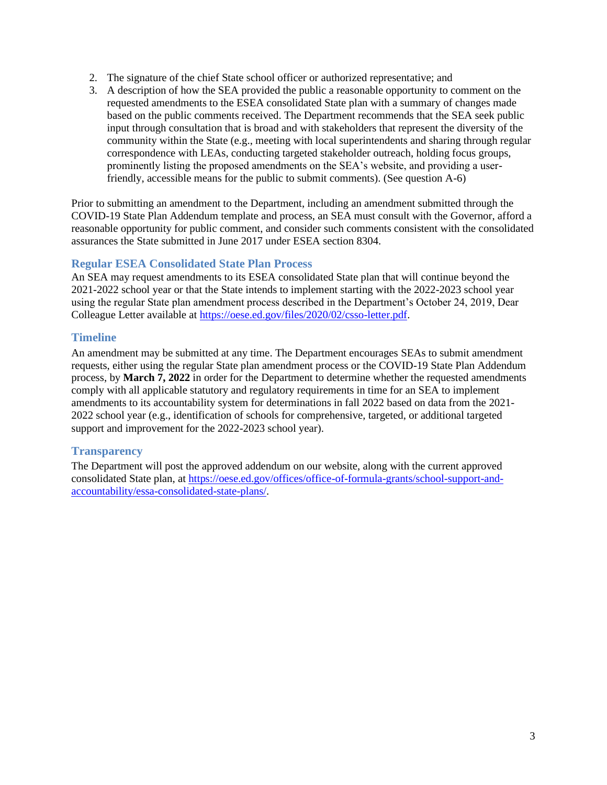- 2. The signature of the chief State school officer or authorized representative; and
- 3. A description of how the SEA provided the public a reasonable opportunity to comment on the requested amendments to the ESEA consolidated State plan with a summary of changes made based on the public comments received. The Department recommends that the SEA seek public input through consultation that is broad and with stakeholders that represent the diversity of the community within the State (e.g., meeting with local superintendents and sharing through regular correspondence with LEAs, conducting targeted stakeholder outreach, holding focus groups, prominently listing the proposed amendments on the SEA's website, and providing a userfriendly, accessible means for the public to submit comments). (See question A-6)

Prior to submitting an amendment to the Department, including an amendment submitted through the COVID-19 State Plan Addendum template and process, an SEA must consult with the Governor, afford a reasonable opportunity for public comment, and consider such comments consistent with the consolidated assurances the State submitted in June 2017 under ESEA section 8304.

### **Regular ESEA Consolidated State Plan Process**

An SEA may request amendments to its ESEA consolidated State plan that will continue beyond the 2021-2022 school year or that the State intends to implement starting with the 2022-2023 school year using the regular State plan amendment process described in the Department's October 24, 2019, Dear Colleague Letter available at [https://oese.ed.gov/files/2020/02/csso-letter.pdf.](https://oese.ed.gov/files/2020/02/csso-letter.pdf)

### **Timeline**

An amendment may be submitted at any time. The Department encourages SEAs to submit amendment requests, either using the regular State plan amendment process or the COVID-19 State Plan Addendum process, by **March 7, 2022** in order for the Department to determine whether the requested amendments comply with all applicable statutory and regulatory requirements in time for an SEA to implement amendments to its accountability system for determinations in fall 2022 based on data from the 2021- 2022 school year (e.g., identification of schools for comprehensive, targeted, or additional targeted support and improvement for the 2022-2023 school year).

### **Transparency**

The Department will post the approved addendum on our website, along with the current approved consolidated State plan, at [https://oese.ed.gov/offices/office-of-formula-grants/school-support-and](https://oese.ed.gov/offices/office-of-formula-grants/school-support-and-accountability/essa-consolidated-state-plans/)[accountability/essa-consolidated-state-plans/.](https://oese.ed.gov/offices/office-of-formula-grants/school-support-and-accountability/essa-consolidated-state-plans/)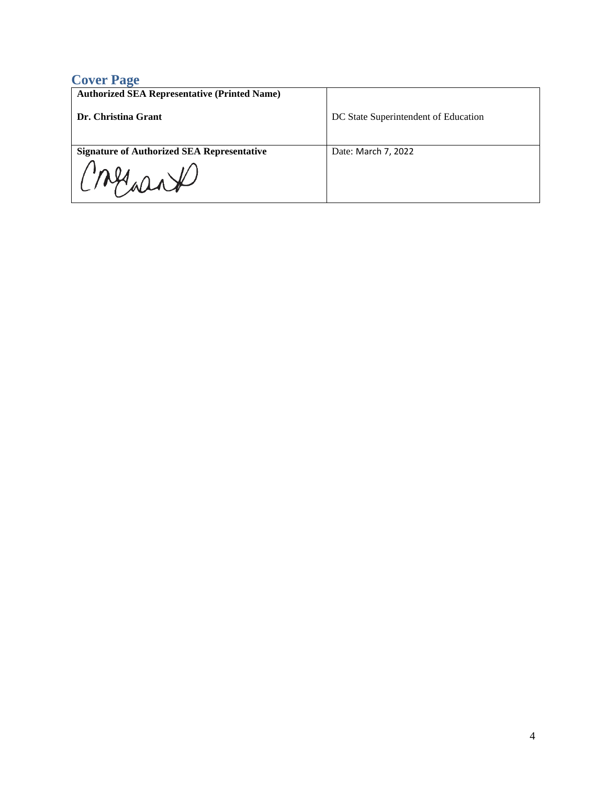## **Cover Page**

| <b>Authorized SEA Representative (Printed Name)</b><br>Dr. Christina Grant | DC State Superintendent of Education |
|----------------------------------------------------------------------------|--------------------------------------|
| <b>Signature of Authorized SEA Representative</b><br>Cresare               | Date: March 7, 2022                  |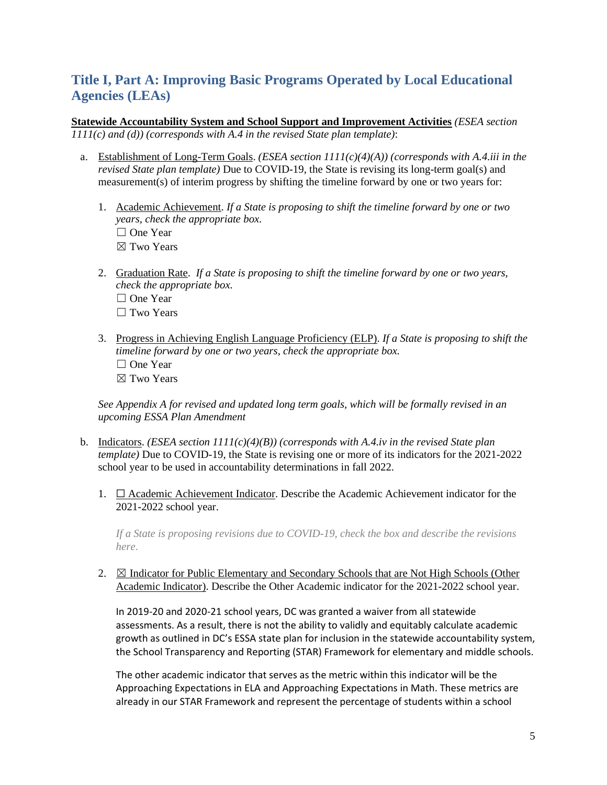## **Title I, Part A: Improving Basic Programs Operated by Local Educational Agencies (LEAs)**

**Statewide Accountability System and School Support and Improvement Activities** *(ESEA section 1111(c) and (d)) (corresponds with A.4 in the revised State plan template)*:

- a. Establishment of Long-Term Goals. *(ESEA section 1111(c)(4)(A)) (corresponds with A.4.iii in the revised State plan template)* Due to COVID-19, the State is revising its long-term goal(s) and measurement(s) of interim progress by shifting the timeline forward by one or two years for:
	- 1. Academic Achievement. *If a State is proposing to shift the timeline forward by one or two years, check the appropriate box.* ☐ One Year ☒ Two Years
	- 2. Graduation Rate. *If a State is proposing to shift the timeline forward by one or two years, check the appropriate box.* □ One Year □ Two Years
	- 3. Progress in Achieving English Language Proficiency (ELP). *If a State is proposing to shift the timeline forward by one or two years, check the appropriate box.* □ One Year ☒ Two Years

*See Appendix A for revised and updated long term goals, which will be formally revised in an upcoming ESSA Plan Amendment*

- b. Indicators. *(ESEA section 1111(c)(4)(B)) (corresponds with A.4.iv in the revised State plan template)* Due to COVID-19, the State is revising one or more of its indicators for the 2021-2022 school year to be used in accountability determinations in fall 2022.
	- 1. ☐ Academic Achievement Indicator. Describe the Academic Achievement indicator for the 2021-2022 school year.

*If a State is proposing revisions due to COVID-19, check the box and describe the revisions here*.

2.  $\boxtimes$  Indicator for Public Elementary and Secondary Schools that are Not High Schools (Other Academic Indicator). Describe the Other Academic indicator for the 2021-2022 school year.

In 2019-20 and 2020-21 school years, DC was granted a waiver from all statewide assessments. As a result, there is not the ability to validly and equitably calculate academic growth as outlined in DC's ESSA state plan for inclusion in the statewide accountability system, the School Transparency and Reporting (STAR) Framework for elementary and middle schools.

The other academic indicator that serves as the metric within this indicator will be the Approaching Expectations in ELA and Approaching Expectations in Math. These metrics are already in our STAR Framework and represent the percentage of students within a school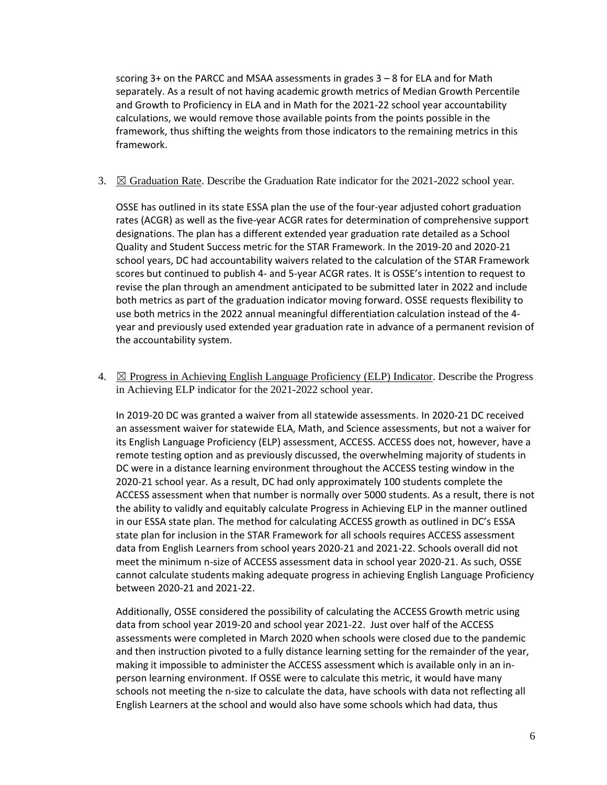scoring 3+ on the PARCC and MSAA assessments in grades 3 – 8 for ELA and for Math separately. As a result of not having academic growth metrics of Median Growth Percentile and Growth to Proficiency in ELA and in Math for the 2021-22 school year accountability calculations, we would remove those available points from the points possible in the framework, thus shifting the weights from those indicators to the remaining metrics in this framework.

3.  $\boxtimes$  Graduation Rate. Describe the Graduation Rate indicator for the 2021-2022 school year.

OSSE has outlined in its state ESSA plan the use of the four-year adjusted cohort graduation rates (ACGR) as well as the five-year ACGR rates for determination of comprehensive support designations. The plan has a different extended year graduation rate detailed as a School Quality and Student Success metric for the STAR Framework. In the 2019-20 and 2020-21 school years, DC had accountability waivers related to the calculation of the STAR Framework scores but continued to publish 4- and 5-year ACGR rates. It is OSSE's intention to request to revise the plan through an amendment anticipated to be submitted later in 2022 and include both metrics as part of the graduation indicator moving forward. OSSE requests flexibility to use both metrics in the 2022 annual meaningful differentiation calculation instead of the 4 year and previously used extended year graduation rate in advance of a permanent revision of the accountability system.

4.  $\boxtimes$  Progress in Achieving English Language Proficiency (ELP) Indicator. Describe the Progress in Achieving ELP indicator for the 2021-2022 school year.

In 2019-20 DC was granted a waiver from all statewide assessments. In 2020-21 DC received an assessment waiver for statewide ELA, Math, and Science assessments, but not a waiver for its English Language Proficiency (ELP) assessment, ACCESS. ACCESS does not, however, have a remote testing option and as previously discussed, the overwhelming majority of students in DC were in a distance learning environment throughout the ACCESS testing window in the 2020-21 school year. As a result, DC had only approximately 100 students complete the ACCESS assessment when that number is normally over 5000 students. As a result, there is not the ability to validly and equitably calculate Progress in Achieving ELP in the manner outlined in our ESSA state plan. The method for calculating ACCESS growth as outlined in DC's ESSA state plan for inclusion in the STAR Framework for all schools requires ACCESS assessment data from English Learners from school years 2020-21 and 2021-22. Schools overall did not meet the minimum n-size of ACCESS assessment data in school year 2020-21. As such, OSSE cannot calculate students making adequate progress in achieving English Language Proficiency between 2020-21 and 2021-22.

Additionally, OSSE considered the possibility of calculating the ACCESS Growth metric using data from school year 2019-20 and school year 2021-22. Just over half of the ACCESS assessments were completed in March 2020 when schools were closed due to the pandemic and then instruction pivoted to a fully distance learning setting for the remainder of the year, making it impossible to administer the ACCESS assessment which is available only in an inperson learning environment. If OSSE were to calculate this metric, it would have many schools not meeting the n-size to calculate the data, have schools with data not reflecting all English Learners at the school and would also have some schools which had data, thus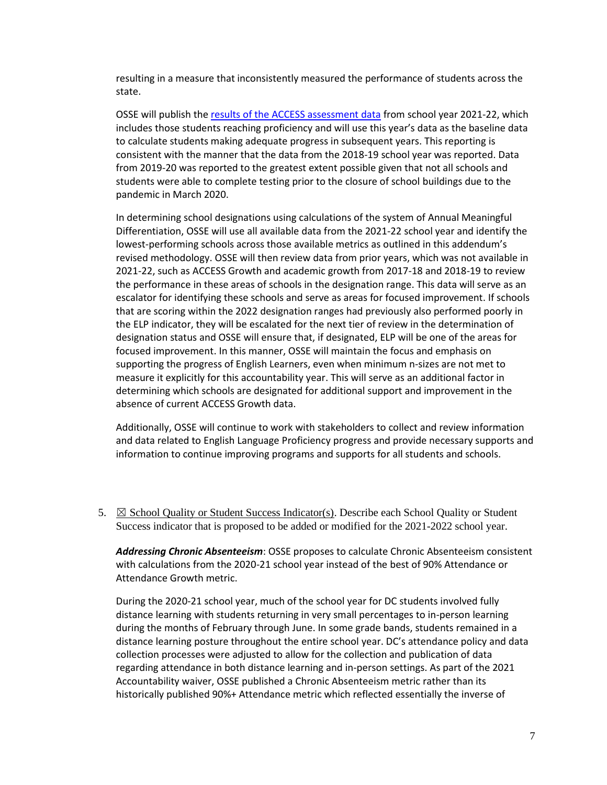resulting in a measure that inconsistently measured the performance of students across the state.

OSSE will publish th[e results of the ACCESS assessment data](https://osse.dc.gov/page/access-ells-results-and-resources) from school year 2021-22, which includes those students reaching proficiency and will use this year's data as the baseline data to calculate students making adequate progress in subsequent years. This reporting is consistent with the manner that the data from the 2018-19 school year was reported. Data from 2019-20 was reported to the greatest extent possible given that not all schools and students were able to complete testing prior to the closure of school buildings due to the pandemic in March 2020.

In determining school designations using calculations of the system of Annual Meaningful Differentiation, OSSE will use all available data from the 2021-22 school year and identify the lowest-performing schools across those available metrics as outlined in this addendum's revised methodology. OSSE will then review data from prior years, which was not available in 2021-22, such as ACCESS Growth and academic growth from 2017-18 and 2018-19 to review the performance in these areas of schools in the designation range. This data will serve as an escalator for identifying these schools and serve as areas for focused improvement. If schools that are scoring within the 2022 designation ranges had previously also performed poorly in the ELP indicator, they will be escalated for the next tier of review in the determination of designation status and OSSE will ensure that, if designated, ELP will be one of the areas for focused improvement. In this manner, OSSE will maintain the focus and emphasis on supporting the progress of English Learners, even when minimum n-sizes are not met to measure it explicitly for this accountability year. This will serve as an additional factor in determining which schools are designated for additional support and improvement in the absence of current ACCESS Growth data.

Additionally, OSSE will continue to work with stakeholders to collect and review information and data related to English Language Proficiency progress and provide necessary supports and information to continue improving programs and supports for all students and schools.

5.  $\boxtimes$  School Quality or Student Success Indicator(s). Describe each School Quality or Student Success indicator that is proposed to be added or modified for the 2021-2022 school year.

*Addressing Chronic Absenteeism*: OSSE proposes to calculate Chronic Absenteeism consistent with calculations from the 2020-21 school year instead of the best of 90% Attendance or Attendance Growth metric.

During the 2020-21 school year, much of the school year for DC students involved fully distance learning with students returning in very small percentages to in-person learning during the months of February through June. In some grade bands, students remained in a distance learning posture throughout the entire school year. DC's attendance policy and data collection processes were adjusted to allow for the collection and publication of data regarding attendance in both distance learning and in-person settings. As part of the 2021 Accountability waiver, OSSE published a Chronic Absenteeism metric rather than its historically published 90%+ Attendance metric which reflected essentially the inverse of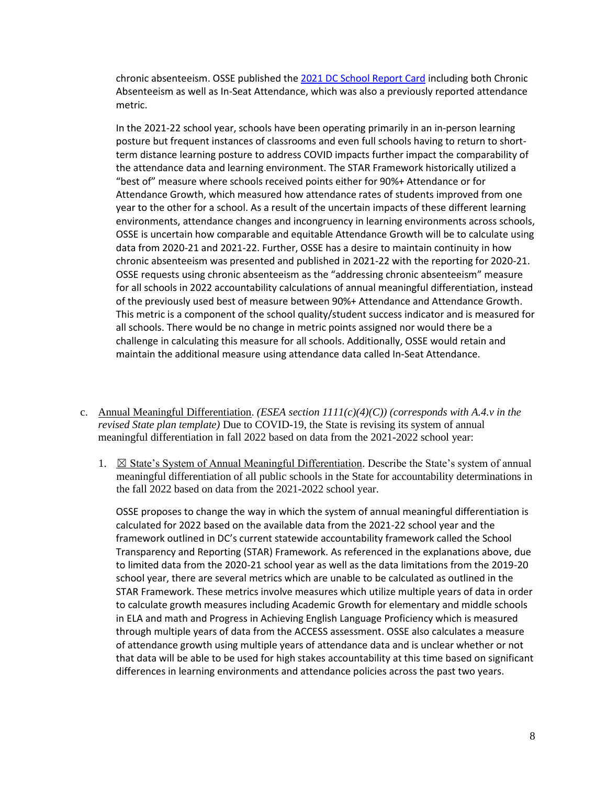chronic absenteeism. OSSE published th[e 2021 DC School Report Card](https://osse.dc.gov/dcschoolreportcard/attendance) including both Chronic Absenteeism as well as In-Seat Attendance, which was also a previously reported attendance metric.

In the 2021-22 school year, schools have been operating primarily in an in-person learning posture but frequent instances of classrooms and even full schools having to return to shortterm distance learning posture to address COVID impacts further impact the comparability of the attendance data and learning environment. The STAR Framework historically utilized a "best of" measure where schools received points either for 90%+ Attendance or for Attendance Growth, which measured how attendance rates of students improved from one year to the other for a school. As a result of the uncertain impacts of these different learning environments, attendance changes and incongruency in learning environments across schools, OSSE is uncertain how comparable and equitable Attendance Growth will be to calculate using data from 2020-21 and 2021-22. Further, OSSE has a desire to maintain continuity in how chronic absenteeism was presented and published in 2021-22 with the reporting for 2020-21. OSSE requests using chronic absenteeism as the "addressing chronic absenteeism" measure for all schools in 2022 accountability calculations of annual meaningful differentiation, instead of the previously used best of measure between 90%+ Attendance and Attendance Growth. This metric is a component of the school quality/student success indicator and is measured for all schools. There would be no change in metric points assigned nor would there be a challenge in calculating this measure for all schools. Additionally, OSSE would retain and maintain the additional measure using attendance data called In-Seat Attendance.

- c. Annual Meaningful Differentiation. *(ESEA section 1111(c)(4)(C)) (corresponds with A.4.v in the revised State plan template)* Due to COVID-19, the State is revising its system of annual meaningful differentiation in fall 2022 based on data from the 2021-2022 school year:
	- 1.  $\boxtimes$  State's System of Annual Meaningful Differentiation. Describe the State's system of annual meaningful differentiation of all public schools in the State for accountability determinations in the fall 2022 based on data from the 2021-2022 school year.

OSSE proposes to change the way in which the system of annual meaningful differentiation is calculated for 2022 based on the available data from the 2021-22 school year and the framework outlined in DC's current statewide accountability framework called the School Transparency and Reporting (STAR) Framework. As referenced in the explanations above, due to limited data from the 2020-21 school year as well as the data limitations from the 2019-20 school year, there are several metrics which are unable to be calculated as outlined in the STAR Framework. These metrics involve measures which utilize multiple years of data in order to calculate growth measures including Academic Growth for elementary and middle schools in ELA and math and Progress in Achieving English Language Proficiency which is measured through multiple years of data from the ACCESS assessment. OSSE also calculates a measure of attendance growth using multiple years of attendance data and is unclear whether or not that data will be able to be used for high stakes accountability at this time based on significant differences in learning environments and attendance policies across the past two years.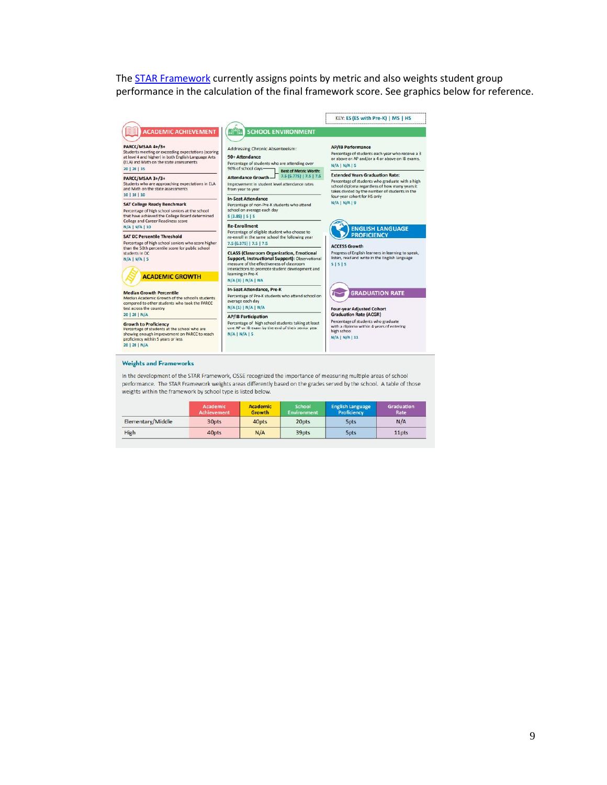The **STAR Framework** currently assigns points by metric and also weights student group performance in the calculation of the final framework score. See graphics below for reference.



#### **Weights and Frameworks**

In the development of the STAR Framework, OSSE recognized the importance of measuring multiple areas of school performance. The STAR Framework weights areas differently based on the grades served by the school. A table of those weights within the framework by school type is listed below.

|                   | <b>Academic</b><br><b>Achievement</b> | <b>Academic</b><br><b>Growth</b> | <b>School</b><br><b>Environment</b> | <b>English Language</b><br>Proficiency | Graduation<br>Rate |
|-------------------|---------------------------------------|----------------------------------|-------------------------------------|----------------------------------------|--------------------|
| Elementary/Middle | 30pts                                 | 40pts                            | 20pts                               | <b>Spts</b>                            | N/A                |
| High              | 40pts                                 | N/A                              | 39pts                               | <b>Spts</b>                            | 11pts              |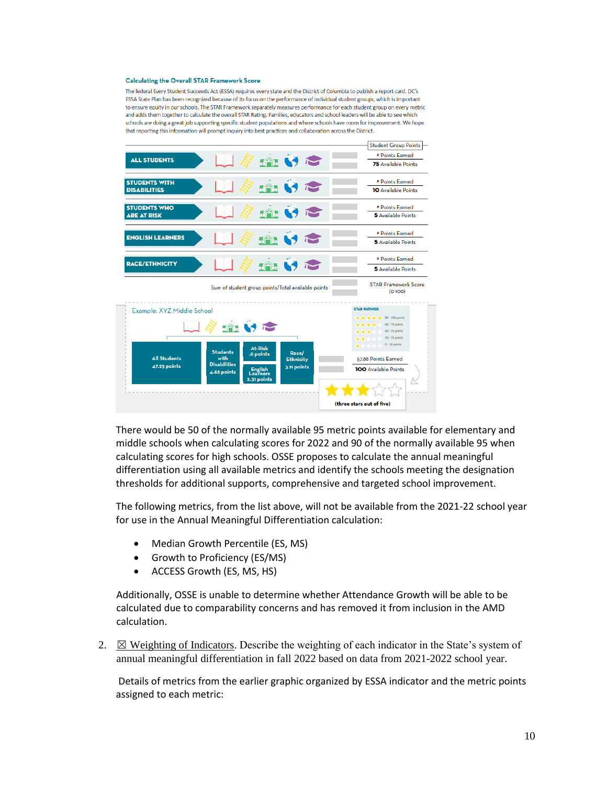#### **Calculating the Overall STAR Framework Score**

The federal Every Student Succeeds Act (ESSA) requires every state and the District of Columbia to publish a report card, DC's ESSA State Plan has been recognized because of its focus on the performance of individual student groups, which is important to ensure equity in our schools. The STAR Framework separately measures performance for each student group on every metric and adds them together to calculate the overall STAR Rating. Families, educators and school leaders will be able to see which schools are doing a great job supporting specific student populations and where schools have room for improvement. We hope that reporting this information will prompt inquiry into best practices and collaboration across the District.



There would be 50 of the normally available 95 metric points available for elementary and middle schools when calculating scores for 2022 and 90 of the normally available 95 when calculating scores for high schools. OSSE proposes to calculate the annual meaningful differentiation using all available metrics and identify the schools meeting the designation thresholds for additional supports, comprehensive and targeted school improvement.

The following metrics, from the list above, will not be available from the 2021-22 school year for use in the Annual Meaningful Differentiation calculation:

- Median Growth Percentile (ES, MS)
- Growth to Proficiency (ES/MS)
- ACCESS Growth (ES, MS, HS)

Additionally, OSSE is unable to determine whether Attendance Growth will be able to be calculated due to comparability concerns and has removed it from inclusion in the AMD calculation.

2.  $\boxtimes$  Weighting of Indicators. Describe the weighting of each indicator in the State's system of annual meaningful differentiation in fall 2022 based on data from 2021-2022 school year.

Details of metrics from the earlier graphic organized by ESSA indicator and the metric points assigned to each metric: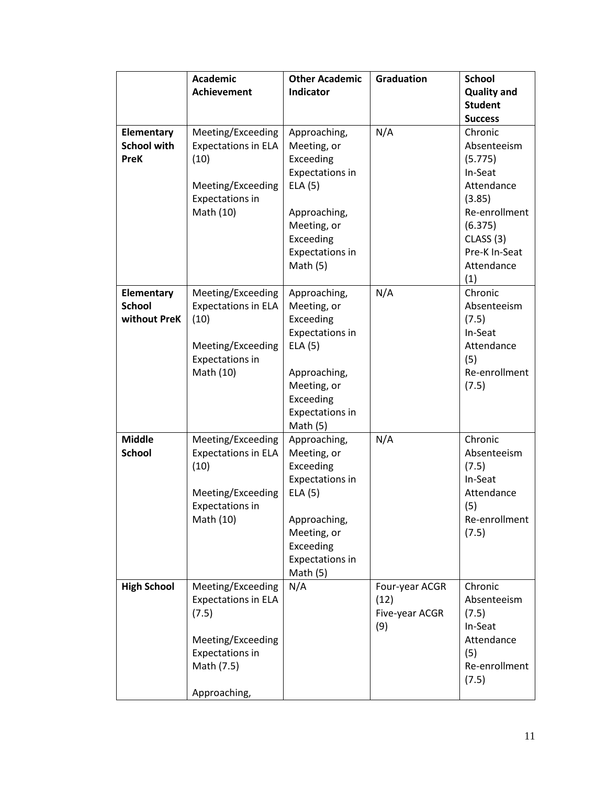|                            | <b>Academic</b>            | <b>Other Academic</b>               | <b>Graduation</b> | <b>School</b>        |
|----------------------------|----------------------------|-------------------------------------|-------------------|----------------------|
|                            | <b>Achievement</b>         | Indicator                           |                   | <b>Quality and</b>   |
|                            |                            |                                     |                   | <b>Student</b>       |
|                            |                            |                                     |                   | <b>Success</b>       |
| Elementary                 | Meeting/Exceeding          | Approaching,                        | N/A               | Chronic              |
| <b>School with</b><br>PreK | <b>Expectations in ELA</b> | Meeting, or<br>Exceeding            |                   | Absenteeism          |
|                            | (10)                       | Expectations in                     |                   | (5.775)<br>In-Seat   |
|                            | Meeting/Exceeding          | ELA(5)                              |                   | Attendance           |
|                            | <b>Expectations in</b>     |                                     |                   | (3.85)               |
|                            | Math (10)                  | Approaching,                        |                   | Re-enrollment        |
|                            |                            | Meeting, or                         |                   | (6.375)              |
|                            |                            | Exceeding                           |                   | CLASS <sub>(3)</sub> |
|                            |                            | <b>Expectations in</b>              |                   | Pre-K In-Seat        |
|                            |                            | Math $(5)$                          |                   | Attendance           |
|                            |                            |                                     |                   | (1)                  |
| Elementary                 | Meeting/Exceeding          | Approaching,                        | N/A               | Chronic              |
| <b>School</b>              | <b>Expectations in ELA</b> | Meeting, or                         |                   | Absenteeism          |
| without PreK               | (10)                       | Exceeding                           |                   | (7.5)                |
|                            |                            | Expectations in                     |                   | In-Seat              |
|                            | Meeting/Exceeding          | ELA(5)                              |                   | Attendance           |
|                            | <b>Expectations in</b>     |                                     |                   | (5)                  |
|                            | Math (10)                  | Approaching,                        |                   | Re-enrollment        |
|                            |                            | Meeting, or<br>Exceeding            |                   | (7.5)                |
|                            |                            | <b>Expectations in</b>              |                   |                      |
|                            |                            | Math $(5)$                          |                   |                      |
| <b>Middle</b>              | Meeting/Exceeding          | Approaching,                        | N/A               | Chronic              |
| <b>School</b>              | <b>Expectations in ELA</b> | Meeting, or                         |                   | Absenteeism          |
|                            | (10)                       | Exceeding                           |                   | (7.5)                |
|                            |                            | Expectations in                     |                   | In-Seat              |
|                            | Meeting/Exceeding          | ELA(5)                              |                   | Attendance           |
|                            | <b>Expectations in</b>     |                                     |                   | (5)                  |
|                            | Math (10)                  | Approaching,                        |                   | Re-enrollment        |
|                            |                            | Meeting, or                         |                   | (7.5)                |
|                            |                            | Exceeding<br><b>Expectations in</b> |                   |                      |
|                            |                            | Math $(5)$                          |                   |                      |
| <b>High School</b>         | Meeting/Exceeding          | N/A                                 | Four-year ACGR    | Chronic              |
|                            | <b>Expectations in ELA</b> |                                     | (12)              | Absenteeism          |
|                            | (7.5)                      |                                     | Five-year ACGR    | (7.5)                |
|                            |                            |                                     | (9)               | In-Seat              |
|                            | Meeting/Exceeding          |                                     |                   | Attendance           |
|                            | <b>Expectations in</b>     |                                     |                   | (5)                  |
|                            | Math (7.5)                 |                                     |                   | Re-enrollment        |
|                            |                            |                                     |                   | (7.5)                |
|                            | Approaching,               |                                     |                   |                      |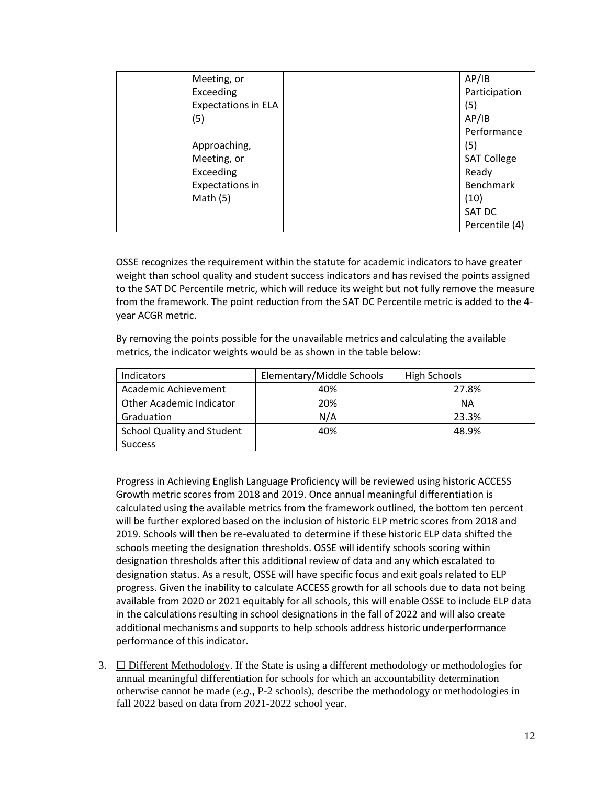| Meeting, or                |  | AP/IB              |
|----------------------------|--|--------------------|
| Exceeding                  |  | Participation      |
| <b>Expectations in ELA</b> |  | (5)                |
| (5)                        |  | AP/IB              |
|                            |  | Performance        |
| Approaching,               |  | (5)                |
| Meeting, or                |  | <b>SAT College</b> |
| Exceeding                  |  | Ready              |
| Expectations in            |  | <b>Benchmark</b>   |
| Math $(5)$                 |  | (10)               |
|                            |  | SAT DC             |
|                            |  | Percentile (4)     |

OSSE recognizes the requirement within the statute for academic indicators to have greater weight than school quality and student success indicators and has revised the points assigned to the SAT DC Percentile metric, which will reduce its weight but not fully remove the measure from the framework. The point reduction from the SAT DC Percentile metric is added to the 4 year ACGR metric.

By removing the points possible for the unavailable metrics and calculating the available metrics, the indicator weights would be as shown in the table below:

| <b>Indicators</b>                 | Elementary/Middle Schools | <b>High Schools</b> |
|-----------------------------------|---------------------------|---------------------|
| Academic Achievement              | 40%                       | 27.8%               |
| Other Academic Indicator          | 20%                       | ΝA                  |
| Graduation                        | N/A                       | 23.3%               |
| <b>School Quality and Student</b> | 40%                       | 48.9%               |
| <b>Success</b>                    |                           |                     |

Progress in Achieving English Language Proficiency will be reviewed using historic ACCESS Growth metric scores from 2018 and 2019. Once annual meaningful differentiation is calculated using the available metrics from the framework outlined, the bottom ten percent will be further explored based on the inclusion of historic ELP metric scores from 2018 and 2019. Schools will then be re-evaluated to determine if these historic ELP data shifted the schools meeting the designation thresholds. OSSE will identify schools scoring within designation thresholds after this additional review of data and any which escalated to designation status. As a result, OSSE will have specific focus and exit goals related to ELP progress. Given the inability to calculate ACCESS growth for all schools due to data not being available from 2020 or 2021 equitably for all schools, this will enable OSSE to include ELP data in the calculations resulting in school designations in the fall of 2022 and will also create additional mechanisms and supports to help schools address historic underperformance performance of this indicator.

3.  $\Box$  Different Methodology. If the State is using a different methodology or methodologies for annual meaningful differentiation for schools for which an accountability determination otherwise cannot be made (*e.g.*, P-2 schools), describe the methodology or methodologies in fall 2022 based on data from 2021-2022 school year.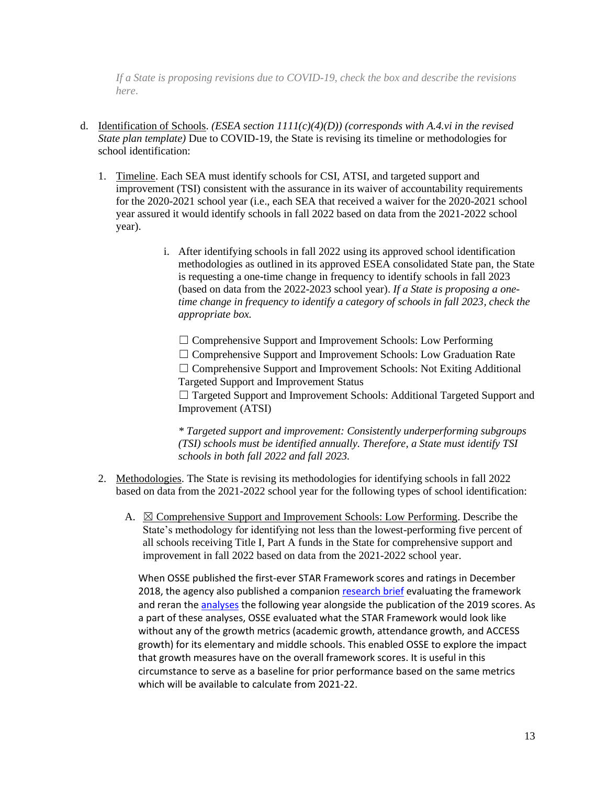*If a State is proposing revisions due to COVID-19, check the box and describe the revisions here*.

- d. Identification of Schools. *(ESEA section 1111(c)(4)(D)) (corresponds with A.4.vi in the revised State plan template)* Due to COVID-19, the State is revising its timeline or methodologies for school identification:
	- 1. Timeline. Each SEA must identify schools for CSI, ATSI, and targeted support and improvement (TSI) consistent with the assurance in its waiver of accountability requirements for the 2020-2021 school year (i.e., each SEA that received a waiver for the 2020-2021 school year assured it would identify schools in fall 2022 based on data from the 2021-2022 school year).
		- i. After identifying schools in fall 2022 using its approved school identification methodologies as outlined in its approved ESEA consolidated State pan, the State is requesting a one-time change in frequency to identify schools in fall 2023 (based on data from the 2022-2023 school year). *If a State is proposing a onetime change in frequency to identify a category of schools in fall 2023, check the appropriate box.*

☐ Comprehensive Support and Improvement Schools: Low Performing □ Comprehensive Support and Improvement Schools: Low Graduation Rate  $\Box$  Comprehensive Support and Improvement Schools: Not Exiting Additional Targeted Support and Improvement Status

□ Targeted Support and Improvement Schools: Additional Targeted Support and Improvement (ATSI)

*\* Targeted support and improvement: Consistently underperforming subgroups (TSI) schools must be identified annually. Therefore, a State must identify TSI schools in both fall 2022 and fall 2023.*

- 2. Methodologies. The State is revising its methodologies for identifying schools in fall 2022 based on data from the 2021-2022 school year for the following types of school identification:
	- A.  $\boxtimes$  Comprehensive Support and Improvement Schools: Low Performing. Describe the State's methodology for identifying not less than the lowest-performing five percent of all schools receiving Title I, Part A funds in the State for comprehensive support and improvement in fall 2022 based on data from the 2021-2022 school year.

When OSSE published the first-ever STAR Framework scores and ratings in December 2018, the agency also published a companion [research brief](https://osse.dc.gov/publication/2018-school-transparency-and-reporting-framework-brief) evaluating the framework and reran the [analyses](https://osse.dc.gov/publication/2019-star-brief-and-appendices) the following year alongside the publication of the 2019 scores. As a part of these analyses, OSSE evaluated what the STAR Framework would look like without any of the growth metrics (academic growth, attendance growth, and ACCESS growth) for its elementary and middle schools. This enabled OSSE to explore the impact that growth measures have on the overall framework scores. It is useful in this circumstance to serve as a baseline for prior performance based on the same metrics which will be available to calculate from 2021-22.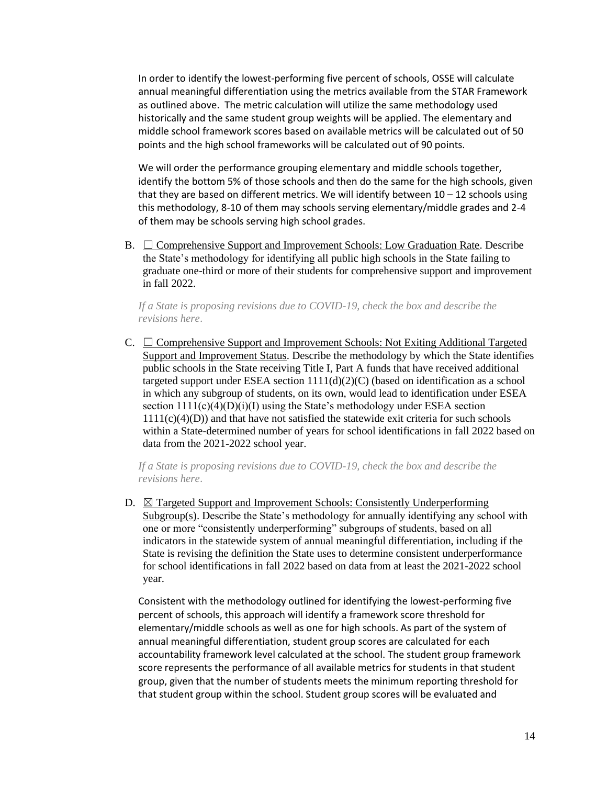In order to identify the lowest-performing five percent of schools, OSSE will calculate annual meaningful differentiation using the metrics available from the STAR Framework as outlined above. The metric calculation will utilize the same methodology used historically and the same student group weights will be applied. The elementary and middle school framework scores based on available metrics will be calculated out of 50 points and the high school frameworks will be calculated out of 90 points.

We will order the performance grouping elementary and middle schools together, identify the bottom 5% of those schools and then do the same for the high schools, given that they are based on different metrics. We will identify between  $10 - 12$  schools using this methodology, 8-10 of them may schools serving elementary/middle grades and 2-4 of them may be schools serving high school grades.

B.  $\Box$  Comprehensive Support and Improvement Schools: Low Graduation Rate. Describe the State's methodology for identifying all public high schools in the State failing to graduate one-third or more of their students for comprehensive support and improvement in fall 2022.

*If a State is proposing revisions due to COVID-19, check the box and describe the revisions here*.

C.  $\Box$  Comprehensive Support and Improvement Schools: Not Exiting Additional Targeted Support and Improvement Status. Describe the methodology by which the State identifies public schools in the State receiving Title I, Part A funds that have received additional targeted support under ESEA section 1111(d)(2)(C) (based on identification as a school in which any subgroup of students, on its own, would lead to identification under ESEA section  $1111(c)(4)(D)(i)(I)$  using the State's methodology under ESEA section  $1111(c)(4)(D)$ ) and that have not satisfied the statewide exit criteria for such schools within a State-determined number of years for school identifications in fall 2022 based on data from the 2021-2022 school year.

*If a State is proposing revisions due to COVID-19, check the box and describe the revisions here*.

D.  $\boxtimes$  Targeted Support and Improvement Schools: Consistently Underperforming  $Subgroup(s)$ . Describe the State's methodology for annually identifying any school with one or more "consistently underperforming" subgroups of students, based on all indicators in the statewide system of annual meaningful differentiation, including if the State is revising the definition the State uses to determine consistent underperformance for school identifications in fall 2022 based on data from at least the 2021-2022 school year.

Consistent with the methodology outlined for identifying the lowest-performing five percent of schools, this approach will identify a framework score threshold for elementary/middle schools as well as one for high schools. As part of the system of annual meaningful differentiation, student group scores are calculated for each accountability framework level calculated at the school. The student group framework score represents the performance of all available metrics for students in that student group, given that the number of students meets the minimum reporting threshold for that student group within the school. Student group scores will be evaluated and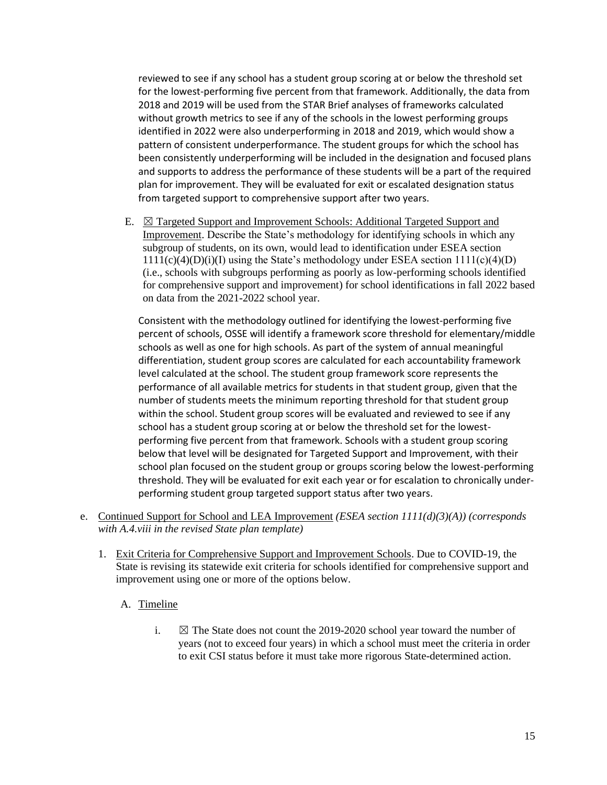reviewed to see if any school has a student group scoring at or below the threshold set for the lowest-performing five percent from that framework. Additionally, the data from 2018 and 2019 will be used from the STAR Brief analyses of frameworks calculated without growth metrics to see if any of the schools in the lowest performing groups identified in 2022 were also underperforming in 2018 and 2019, which would show a pattern of consistent underperformance. The student groups for which the school has been consistently underperforming will be included in the designation and focused plans and supports to address the performance of these students will be a part of the required plan for improvement. They will be evaluated for exit or escalated designation status from targeted support to comprehensive support after two years.

E. ☒ Targeted Support and Improvement Schools: Additional Targeted Support and Improvement. Describe the State's methodology for identifying schools in which any subgroup of students, on its own, would lead to identification under ESEA section  $1111(c)(4)(D)(i)(I)$  using the State's methodology under ESEA section  $111(c)(4)(D)$ (i.e., schools with subgroups performing as poorly as low-performing schools identified for comprehensive support and improvement) for school identifications in fall 2022 based on data from the 2021-2022 school year.

Consistent with the methodology outlined for identifying the lowest-performing five percent of schools, OSSE will identify a framework score threshold for elementary/middle schools as well as one for high schools. As part of the system of annual meaningful differentiation, student group scores are calculated for each accountability framework level calculated at the school. The student group framework score represents the performance of all available metrics for students in that student group, given that the number of students meets the minimum reporting threshold for that student group within the school. Student group scores will be evaluated and reviewed to see if any school has a student group scoring at or below the threshold set for the lowestperforming five percent from that framework. Schools with a student group scoring below that level will be designated for Targeted Support and Improvement, with their school plan focused on the student group or groups scoring below the lowest-performing threshold. They will be evaluated for exit each year or for escalation to chronically underperforming student group targeted support status after two years.

- e. Continued Support for School and LEA Improvement *(ESEA section 1111(d)(3)(A)) (corresponds with A.4.viii in the revised State plan template)*
	- 1. Exit Criteria for Comprehensive Support and Improvement Schools. Due to COVID-19, the State is revising its statewide exit criteria for schools identified for comprehensive support and improvement using one or more of the options below.

### A. Timeline

i.  $\boxtimes$  The State does not count the 2019-2020 school year toward the number of years (not to exceed four years) in which a school must meet the criteria in order to exit CSI status before it must take more rigorous State-determined action.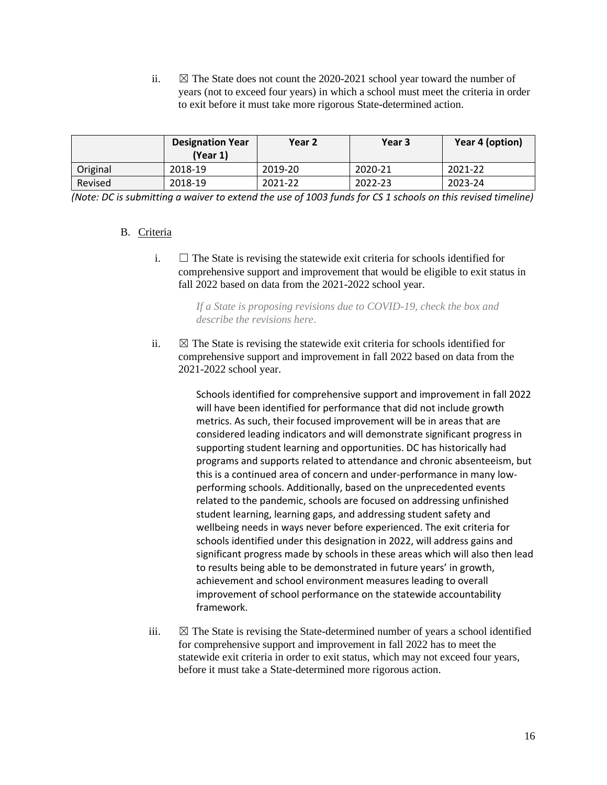ii.  $\boxtimes$  The State does not count the 2020-2021 school year toward the number of years (not to exceed four years) in which a school must meet the criteria in order to exit before it must take more rigorous State-determined action.

|          | <b>Designation Year</b><br>(Year 1) | Year 2  | Year 3  | Year 4 (option) |
|----------|-------------------------------------|---------|---------|-----------------|
| Original | 2018-19                             | 2019-20 | 2020-21 | 2021-22         |
| Revised  | 2018-19                             | 2021-22 | 2022-23 | 2023-24         |

*(Note: DC is submitting a waiver to extend the use of 1003 funds for CS 1 schools on this revised timeline)*

### B. Criteria

i.  $\Box$  The State is revising the statewide exit criteria for schools identified for comprehensive support and improvement that would be eligible to exit status in fall 2022 based on data from the 2021-2022 school year.

> *If a State is proposing revisions due to COVID-19, check the box and describe the revisions here*.

ii.  $\boxtimes$  The State is revising the statewide exit criteria for schools identified for comprehensive support and improvement in fall 2022 based on data from the 2021-2022 school year.

> Schools identified for comprehensive support and improvement in fall 2022 will have been identified for performance that did not include growth metrics. As such, their focused improvement will be in areas that are considered leading indicators and will demonstrate significant progress in supporting student learning and opportunities. DC has historically had programs and supports related to attendance and chronic absenteeism, but this is a continued area of concern and under-performance in many lowperforming schools. Additionally, based on the unprecedented events related to the pandemic, schools are focused on addressing unfinished student learning, learning gaps, and addressing student safety and wellbeing needs in ways never before experienced. The exit criteria for schools identified under this designation in 2022, will address gains and significant progress made by schools in these areas which will also then lead to results being able to be demonstrated in future years' in growth, achievement and school environment measures leading to overall improvement of school performance on the statewide accountability framework.

iii.  $\boxtimes$  The State is revising the State-determined number of years a school identified for comprehensive support and improvement in fall 2022 has to meet the statewide exit criteria in order to exit status, which may not exceed four years, before it must take a State-determined more rigorous action.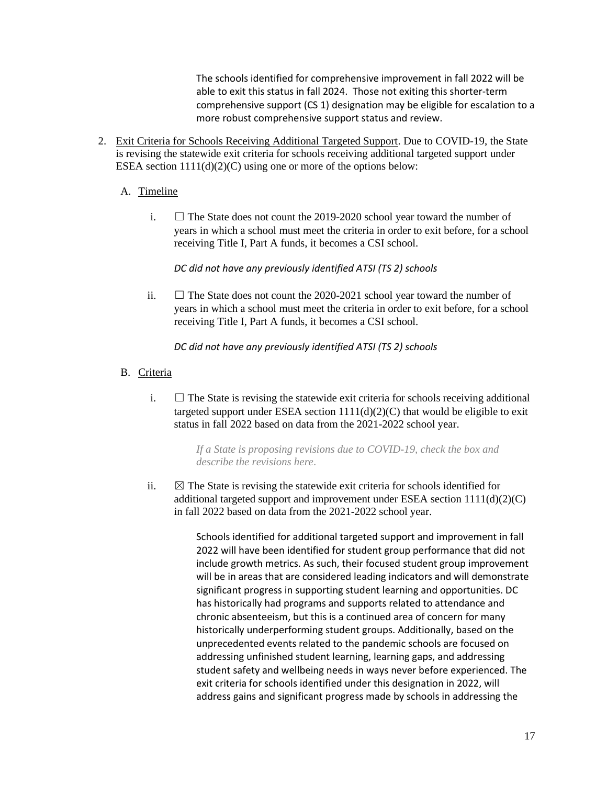The schools identified for comprehensive improvement in fall 2022 will be able to exit this status in fall 2024. Those not exiting this shorter-term comprehensive support (CS 1) designation may be eligible for escalation to a more robust comprehensive support status and review.

2. Exit Criteria for Schools Receiving Additional Targeted Support. Due to COVID-19, the State is revising the statewide exit criteria for schools receiving additional targeted support under ESEA section  $1111(d)(2)(C)$  using one or more of the options below:

### A. Timeline

i.  $\Box$  The State does not count the 2019-2020 school year toward the number of years in which a school must meet the criteria in order to exit before, for a school receiving Title I, Part A funds, it becomes a CSI school.

#### *DC did not have any previously identified ATSI (TS 2) schools*

ii.  $\Box$  The State does not count the 2020-2021 school year toward the number of years in which a school must meet the criteria in order to exit before, for a school receiving Title I, Part A funds, it becomes a CSI school.

*DC did not have any previously identified ATSI (TS 2) schools*

- B. Criteria
	- i.  $\Box$  The State is revising the statewide exit criteria for schools receiving additional targeted support under ESEA section  $1111(d)(2)(C)$  that would be eligible to exit status in fall 2022 based on data from the 2021-2022 school year.

*If a State is proposing revisions due to COVID-19, check the box and describe the revisions here*.

ii.  $\boxtimes$  The State is revising the statewide exit criteria for schools identified for additional targeted support and improvement under ESEA section  $1111(d)(2)(C)$ in fall 2022 based on data from the 2021-2022 school year.

> Schools identified for additional targeted support and improvement in fall 2022 will have been identified for student group performance that did not include growth metrics. As such, their focused student group improvement will be in areas that are considered leading indicators and will demonstrate significant progress in supporting student learning and opportunities. DC has historically had programs and supports related to attendance and chronic absenteeism, but this is a continued area of concern for many historically underperforming student groups. Additionally, based on the unprecedented events related to the pandemic schools are focused on addressing unfinished student learning, learning gaps, and addressing student safety and wellbeing needs in ways never before experienced. The exit criteria for schools identified under this designation in 2022, will address gains and significant progress made by schools in addressing the